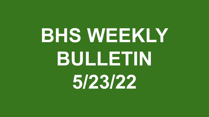# **BHS WEEKLY BULLETIN 5/23/22**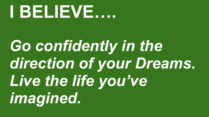#### **I BELIEVE….**

*Go confidently in the direction of your Dreams. Live the life you've imagined.*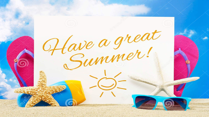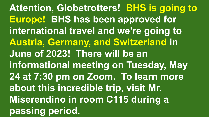**Attention, Globetrotters! BHS is going to Europe! BHS has been approved for international travel and we're going to Austria, Germany, and Switzerland in June of 2023! There will be an informational meeting on Tuesday, May 24 at 7:30 pm on Zoom. To learn more about this incredible trip, visit Mr. Miserendino in room C115 during a passing period.**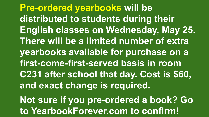**Pre-ordered yearbooks will be distributed to students during their English classes on Wednesday, May 25. There will be a limited number of extra yearbooks available for purchase on a first-come-first-served basis in room C231 after school that day. Cost is \$60, and exact change is required. Not sure if you pre-ordered a book? Go to YearbookForever.com to confirm!**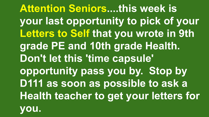**Attention Seniors....this week is your last opportunity to pick of your Letters to Self that you wrote in 9th grade PE and 10th grade Health. Don't let this 'time capsule' opportunity pass you by. Stop by D111 as soon as possible to ask a Health teacher to get your letters for you.**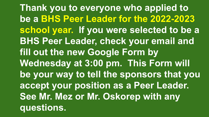**Thank you to everyone who applied to be a BHS Peer Leader for the 2022-2023 school year. If you were selected to be a BHS Peer Leader, check your email and fill out the new Google Form by Wednesday at 3:00 pm. This Form will be your way to tell the sponsors that you accept your position as a Peer Leader. See Mr. Mez or Mr. Oskorep with any questions.**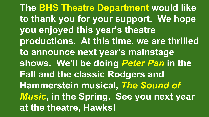**The BHS Theatre Department would like to thank you for your support. We hope you enjoyed this year's theatre productions. At this time, we are thrilled to announce next year's mainstage shows. We'll be doing** *Peter Pan* **in the Fall and the classic Rodgers and Hammerstein musical,** *The Sound of Music***, in the Spring. See you next year at the theatre, Hawks!**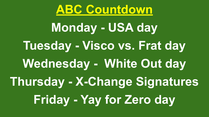

**Monday - USA day Tuesday - Visco vs. Frat day Wednesday - White Out day Thursday - X-Change Signatures Friday - Yay for Zero day**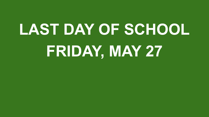#### **LAST DAY OF SCHOOL FRIDAY, MAY 27**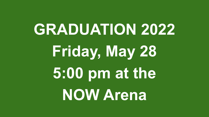### **GRADUATION 2022 Friday, May 28 5:00 pm at the NOW Arena**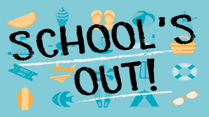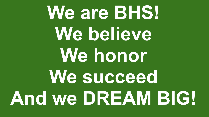## **We are BHS! We believe We honor We succeed And we DREAM BIG!**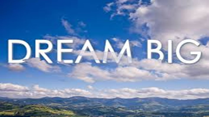